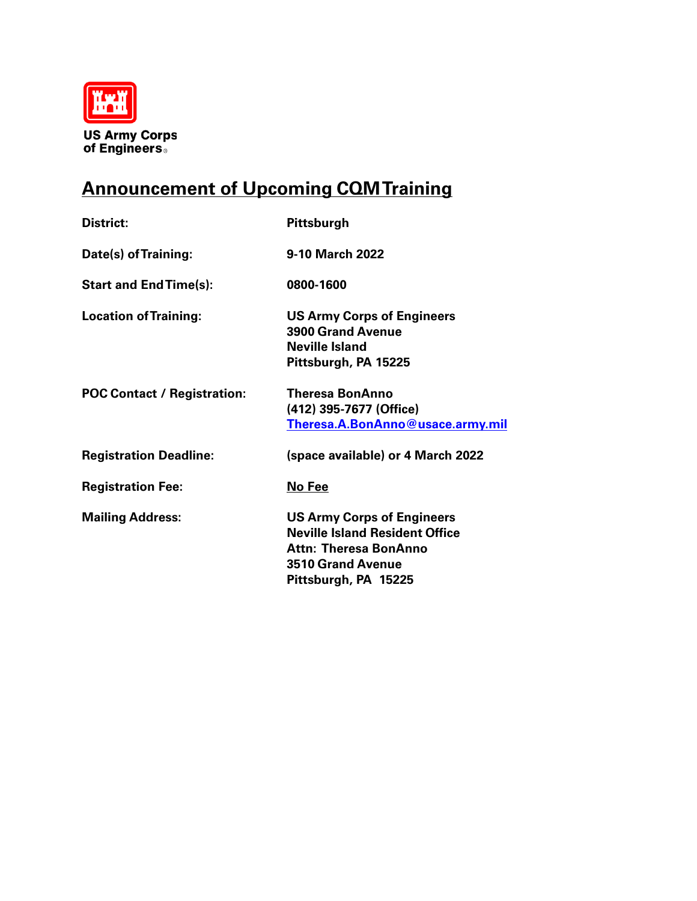

**US Army Corps<br>of Engineers** 

## **Announcement of Upcoming CQM Training**

| <b>District:</b>                   | Pittsburgh                                                                                                                                              |  |
|------------------------------------|---------------------------------------------------------------------------------------------------------------------------------------------------------|--|
| Date(s) of Training:               | 9-10 March 2022                                                                                                                                         |  |
| <b>Start and End Time(s):</b>      | 0800-1600                                                                                                                                               |  |
| <b>Location of Training:</b>       | <b>US Army Corps of Engineers</b><br><b>3900 Grand Avenue</b><br><b>Neville Island</b><br>Pittsburgh, PA 15225                                          |  |
| <b>POC Contact / Registration:</b> | Theresa BonAnno<br>(412) 395-7677 (Office)<br>Theresa.A.BonAnno@usace.army.mil                                                                          |  |
| <b>Registration Deadline:</b>      | (space available) or 4 March 2022                                                                                                                       |  |
| <b>Registration Fee:</b>           | No Fee                                                                                                                                                  |  |
| <b>Mailing Address:</b>            | <b>US Army Corps of Engineers</b><br><b>Neville Island Resident Office</b><br>Attn: Theresa BonAnno<br><b>3510 Grand Avenue</b><br>Pittsburgh, PA 15225 |  |